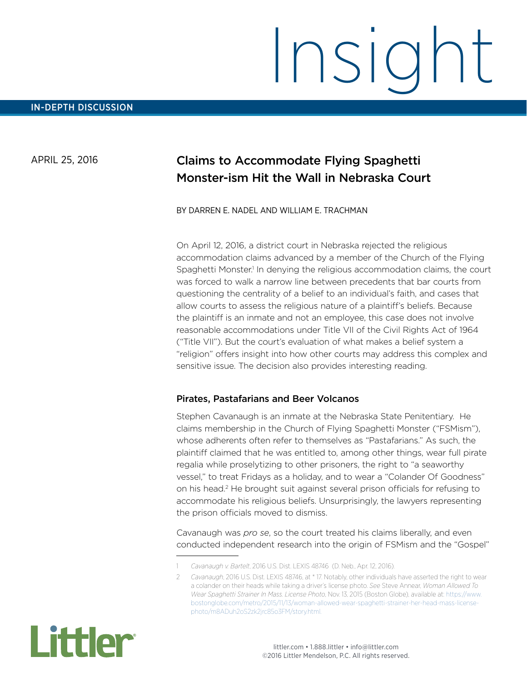## APRIL 25, 2016

# Claims to Accommodate Flying Spaghetti Monster-ism Hit the Wall in Nebraska Court

#### BY DARREN E. NADEL AND WILLIAM E. TRACHMAN

On April 12, 2016, a district court in Nebraska rejected the religious accommodation claims advanced by a member of the Church of the Flying Spaghetti Monster.<sup>1</sup> In denying the religious accommodation claims, the court was forced to walk a narrow line between precedents that bar courts from questioning the centrality of a belief to an individual's faith, and cases that allow courts to assess the religious nature of a plaintiff's beliefs. Because the plaintiff is an inmate and not an employee, this case does not involve reasonable accommodations under Title VII of the Civil Rights Act of 1964 ("Title VII"). But the court's evaluation of what makes a belief system a "religion" offers insight into how other courts may address this complex and sensitive issue. The decision also provides interesting reading.

#### Pirates, Pastafarians and Beer Volcanos

Stephen Cavanaugh is an inmate at the Nebraska State Penitentiary. He claims membership in the Church of Flying Spaghetti Monster ("FSMism"), whose adherents often refer to themselves as "Pastafarians." As such, the plaintiff claimed that he was entitled to, among other things, wear full pirate regalia while proselytizing to other prisoners, the right to "a seaworthy vessel," to treat Fridays as a holiday, and to wear a "Colander Of Goodness" on his head.<sup>2</sup> He brought suit against several prison officials for refusing to accommodate his religious beliefs. Unsurprisingly, the lawyers representing the prison officials moved to dismiss.

Cavanaugh was *pro se*, so the court treated his claims liberally, and even conducted independent research into the origin of FSMism and the "Gospel"

<sup>2</sup> *Cavanaugh*, 2016 U.S. Dist. LEXIS 48746, at \* 17. Notably, other individuals have asserted the right to wear a colander on their heads while taking a driver's license photo. *See* Steve Annear, *Woman Allowed To Wear Spaghetti Strainer In Mass. License Photo*, Nov. 13, 2015 (Boston Globe), available at: [https://www.](https://www.bostonglobe.com/metro/2015/11/13/woman-allowed-wear-spaghetti-strainer-her-head-mass-license-photo/m8ADuh2oS2zk2jrc85o3FM/story.html) [bostonglobe.com/metro/2015/11/13/woman-allowed-wear-spaghetti-strainer-her-head-mass-license](https://www.bostonglobe.com/metro/2015/11/13/woman-allowed-wear-spaghetti-strainer-her-head-mass-license-photo/m8ADuh2oS2zk2jrc85o3FM/story.html)[photo/m8ADuh2oS2zk2jrc85o3FM/story.html.](https://www.bostonglobe.com/metro/2015/11/13/woman-allowed-wear-spaghetti-strainer-her-head-mass-license-photo/m8ADuh2oS2zk2jrc85o3FM/story.html)



<sup>1</sup> *Cavanaugh v. Bartelt*, 2016 U.S. Dist. LEXIS 48746 (D. Neb., Apr. 12, 2016).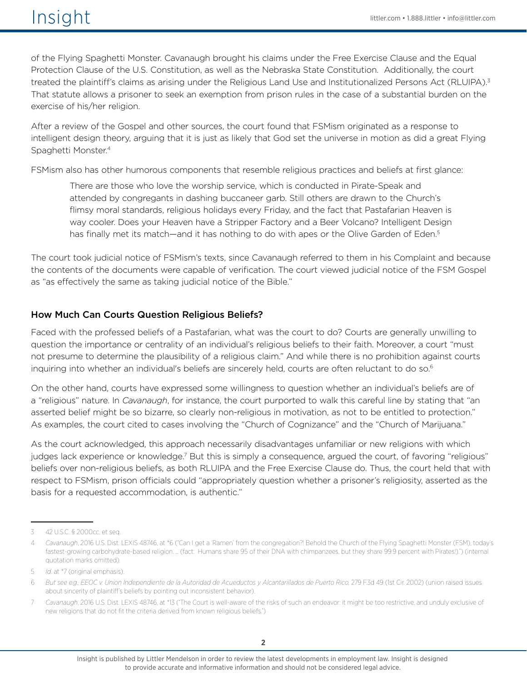of the Flying Spaghetti Monster. Cavanaugh brought his claims under the Free Exercise Clause and the Equal Protection Clause of the U.S. Constitution, as well as the Nebraska State Constitution. Additionally, the court treated the plaintiff's claims as arising under the Religious Land Use and Institutionalized Persons Act (RLUIPA).<sup>3</sup> That statute allows a prisoner to seek an exemption from prison rules in the case of a substantial burden on the exercise of his/her religion.

After a review of the Gospel and other sources, the court found that FSMism originated as a response to intelligent design theory, arguing that it is just as likely that God set the universe in motion as did a great Flying Spaghetti Monster.4

FSMism also has other humorous components that resemble religious practices and beliefs at first glance:

There are those who love the worship service, which is conducted in Pirate-Speak and attended by congregants in dashing buccaneer garb. Still others are drawn to the Church's flimsy moral standards, religious holidays every Friday, and the fact that Pastafarian Heaven is way cooler. Does your Heaven have a Stripper Factory and a Beer Volcano? Intelligent Design has finally met its match—and it has nothing to do with apes or the Olive Garden of Eden.<sup>5</sup>

The court took judicial notice of FSMism's texts, since Cavanaugh referred to them in his Complaint and because the contents of the documents were capable of verification. The court viewed judicial notice of the FSM Gospel as "as effectively the same as taking judicial notice of the Bible."

### How Much Can Courts Question Religious Beliefs?

Faced with the professed beliefs of a Pastafarian, what was the court to do? Courts are generally unwilling to question the importance or centrality of an individual's religious beliefs to their faith. Moreover, a court "must not presume to determine the plausibility of a religious claim." And while there is no prohibition against courts inquiring into whether an individual's beliefs are sincerely held, courts are often reluctant to do so.<sup>6</sup>

On the other hand, courts have expressed some willingness to question whether an individual's beliefs are of a "religious" nature. In *Cavanaugh*, for instance, the court purported to walk this careful line by stating that "an asserted belief might be so bizarre, so clearly non-religious in motivation, as not to be entitled to protection." As examples, the court cited to cases involving the "Church of Cognizance" and the "Church of Marijuana."

As the court acknowledged, this approach necessarily disadvantages unfamiliar or new religions with which judges lack experience or knowledge.<sup>7</sup> But this is simply a consequence, argued the court, of favoring "religious" beliefs over non-religious beliefs, as both RLUIPA and the Free Exercise Clause do. Thus, the court held that with respect to FSMism, prison officials could "appropriately question whether a prisoner's religiosity, asserted as the basis for a requested accommodation, is authentic."

<sup>3</sup> 42 U.S.C. § 2000cc, et seq.

<sup>4</sup> *Cavanaugh*, 2016 U.S. Dist. LEXIS 48746, at \*6 ("Can I get a 'Ramen' from the congregation?! Behold the Church of the Flying Spaghetti Monster (FSM), today's fastest-growing carbohydrate-based religion. … (fact: Humans share 95 of their DNA with chimpanzees, but they share 99.9 percent with Pirates!).") (internal quotation marks omitted).

<sup>5</sup> *Id*. at \*7 (original emphasis).

<sup>6</sup> *But see e.g., EEOC v. Union Independiente de la Autoridad de Acueductos y Alcantarillados de Puerto Rico,* 279 F.3d 49 (1st Cir. 2002) (union raised issues about sincerity of plaintiff's beliefs by pointing out inconsistent behavior).

<sup>7</sup> *Cavanaugh*, 2016 U.S. Dist. LEXIS 48746, at \*13 ("The Court is well-aware of the risks of such an endeavor: it might be too restrictive, and unduly exclusive of new religions that do not fit the criteria derived from known religious beliefs.")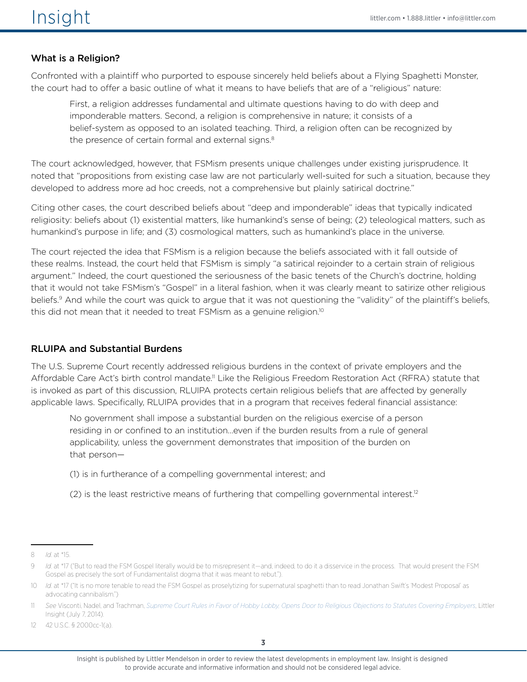# What is a Religion?

Confronted with a plaintiff who purported to espouse sincerely held beliefs about a Flying Spaghetti Monster, the court had to offer a basic outline of what it means to have beliefs that are of a "religious" nature:

First, a religion addresses fundamental and ultimate questions having to do with deep and imponderable matters. Second, a religion is comprehensive in nature; it consists of a belief-system as opposed to an isolated teaching. Third, a religion often can be recognized by the presence of certain formal and external signs.<sup>8</sup>

The court acknowledged, however, that FSMism presents unique challenges under existing jurisprudence. It noted that "propositions from existing case law are not particularly well-suited for such a situation, because they developed to address more ad hoc creeds, not a comprehensive but plainly satirical doctrine."

Citing other cases, the court described beliefs about "deep and imponderable" ideas that typically indicated religiosity: beliefs about (1) existential matters, like humankind's sense of being; (2) teleological matters, such as humankind's purpose in life; and (3) cosmological matters, such as humankind's place in the universe.

The court rejected the idea that FSMism is a religion because the beliefs associated with it fall outside of these realms. Instead, the court held that FSMism is simply "a satirical rejoinder to a certain strain of religious argument." Indeed, the court questioned the seriousness of the basic tenets of the Church's doctrine, holding that it would not take FSMism's "Gospel" in a literal fashion, when it was clearly meant to satirize other religious beliefs.9 And while the court was quick to argue that it was not questioning the "validity" of the plaintiff's beliefs, this did not mean that it needed to treat FSMism as a genuine religion.10

### RLUIPA and Substantial Burdens

The U.S. Supreme Court recently addressed religious burdens in the context of private employers and the Affordable Care Act's birth control mandate.<sup>11</sup> Like the Religious Freedom Restoration Act (RFRA) statute that is invoked as part of this discussion, RLUIPA protects certain religious beliefs that are affected by generally applicable laws. Specifically, RLUIPA provides that in a program that receives federal financial assistance:

No government shall impose a substantial burden on the religious exercise of a person residing in or confined to an institution…even if the burden results from a rule of general applicability, unless the government demonstrates that imposition of the burden on that person—

- (1) is in furtherance of a compelling governmental interest; and
- (2) is the least restrictive means of furthering that compelling governmental interest.<sup>12</sup>

<sup>8</sup> *Id*. at \*15.

<sup>9</sup> *Id.* at \*17 ("But to read the FSM Gospel literally would be to misrepresent it—and, indeed, to do it a disservice in the process. That would present the FSM Gospel as precisely the sort of Fundamentalist dogma that it was meant to rebut.").

<sup>10</sup> *Id.* at \*17 ("It is no more tenable to read the FSM Gospel as proselytizing for supernatural spaghetti than to read Jonathan Swift's 'Modest Proposal' as advocating cannibalism.")

<sup>11</sup> *See* Visconti, Nadel, and Trachman, *[Supreme Court Rules in Favor of Hobby Lobby, Opens Door to Religious Objections to Statutes Covering Employers](http://www.littler.com/supreme-court-rules-favor-hobby-lobby-opens-door-religious-objections-statutes-covering-employers-1)*, Littler Insight (July 7, 2014).

<sup>12</sup> 42 U.S.C. § 2000cc-1(a).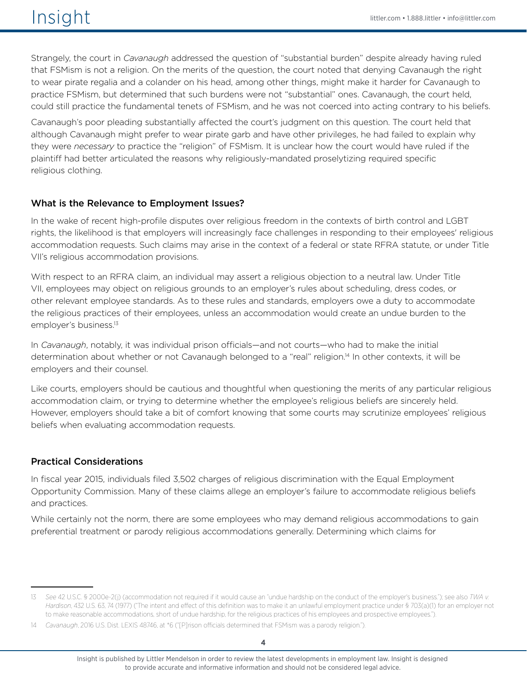# $\sqrt{151}$   $\sqrt{151}$   $\sqrt{151}$   $\sqrt{151}$   $\sqrt{151}$   $\sqrt{151}$   $\sqrt{151}$   $\sqrt{151}$   $\sqrt{151}$   $\sqrt{151}$   $\sqrt{151}$   $\sqrt{151}$   $\sqrt{151}$   $\sqrt{151}$   $\sqrt{151}$   $\sqrt{151}$   $\sqrt{151}$   $\sqrt{151}$   $\sqrt{151}$   $\sqrt{151}$   $\sqrt{151}$   $\sqrt{151}$

Strangely, the court in *Cavanaugh* addressed the question of "substantial burden" despite already having ruled that FSMism is not a religion. On the merits of the question, the court noted that denying Cavanaugh the right to wear pirate regalia and a colander on his head, among other things, might make it harder for Cavanaugh to practice FSMism, but determined that such burdens were not "substantial" ones. Cavanaugh, the court held, could still practice the fundamental tenets of FSMism, and he was not coerced into acting contrary to his beliefs.

Cavanaugh's poor pleading substantially affected the court's judgment on this question. The court held that although Cavanaugh might prefer to wear pirate garb and have other privileges, he had failed to explain why they were *necessary* to practice the "religion" of FSMism. It is unclear how the court would have ruled if the plaintiff had better articulated the reasons why religiously-mandated proselytizing required specific religious clothing.

#### What is the Relevance to Employment Issues?

In the wake of recent high-profile disputes over religious freedom in the contexts of birth control and LGBT rights, the likelihood is that employers will increasingly face challenges in responding to their employees' religious accommodation requests. Such claims may arise in the context of a federal or state RFRA statute, or under Title VII's religious accommodation provisions.

With respect to an RFRA claim, an individual may assert a religious objection to a neutral law. Under Title VII, employees may object on religious grounds to an employer's rules about scheduling, dress codes, or other relevant employee standards. As to these rules and standards, employers owe a duty to accommodate the religious practices of their employees, unless an accommodation would create an undue burden to the employer's business.<sup>13</sup>

In *Cavanaugh*, notably, it was individual prison officials—and not courts—who had to make the initial determination about whether or not Cavanaugh belonged to a "real" religion.<sup>14</sup> In other contexts, it will be employers and their counsel.

Like courts, employers should be cautious and thoughtful when questioning the merits of any particular religious accommodation claim, or trying to determine whether the employee's religious beliefs are sincerely held. However, employers should take a bit of comfort knowing that some courts may scrutinize employees' religious beliefs when evaluating accommodation requests.

#### Practical Considerations

In fiscal year 2015, individuals filed 3,502 charges of religious discrimination with the Equal Employment Opportunity Commission. Many of these claims allege an employer's failure to accommodate religious beliefs and practices.

While certainly not the norm, there are some employees who may demand religious accommodations to gain preferential treatment or parody religious accommodations generally. Determining which claims for

<sup>13</sup> *See* 42 U.S.C. § 2000e-2(j) (accommodation not required if it would cause an "undue hardship on the conduct of the employer's business."); see also *TWA v. Hardison*, 432 U.S. 63, 74 (1977) ("The intent and effect of this definition was to make it an unlawful employment practice under § 703(a)(1) for an employer not to make reasonable accommodations, short of undue hardship, for the religious practices of his employees and prospective employees.").

<sup>14</sup> *Cavanaugh*, 2016 U.S. Dist. LEXIS 48746, at \*6 ("[P]rison officials determined that FSMism was a parody religion.").